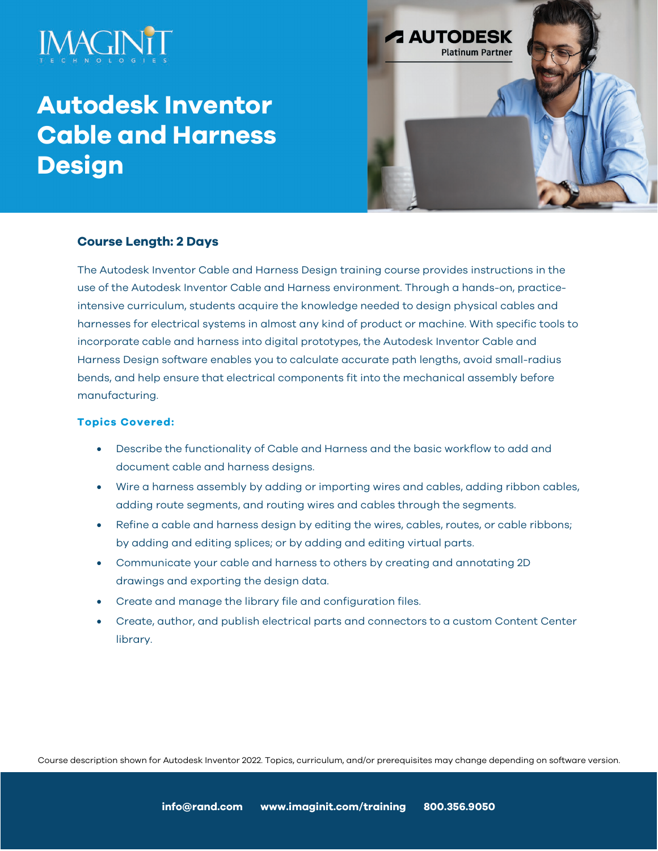# **Autodesk Inventor Cable and Harness Design**



## **Course Length: 2 Days**

The Autodesk Inventor Cable and Harness Design training course provides instructions in the use of the Autodesk Inventor Cable and Harness environment. Through a hands-on, practiceintensive curriculum, students acquire the knowledge needed to design physical cables and harnesses for electrical systems in almost any kind of product or machine. With specific tools to incorporate cable and harness into digital prototypes, the Autodesk Inventor Cable and Harness Design software enables you to calculate accurate path lengths, avoid small-radius bends, and help ensure that electrical components fit into the mechanical assembly before manufacturing.

### **Topics Covered:**

- Describe the functionality of Cable and Harness and the basic workflow to add and document cable and harness designs.
- Wire a harness assembly by adding or importing wires and cables, adding ribbon cables, adding route segments, and routing wires and cables through the segments.
- Refine a cable and harness design by editing the wires, cables, routes, or cable ribbons; by adding and editing splices; or by adding and editing virtual parts.
- Communicate your cable and harness to others by creating and annotating 2D drawings and exporting the design data.
- Create and manage the library file and configuration files.
- Create, author, and publish electrical parts and connectors to a custom Content Center library.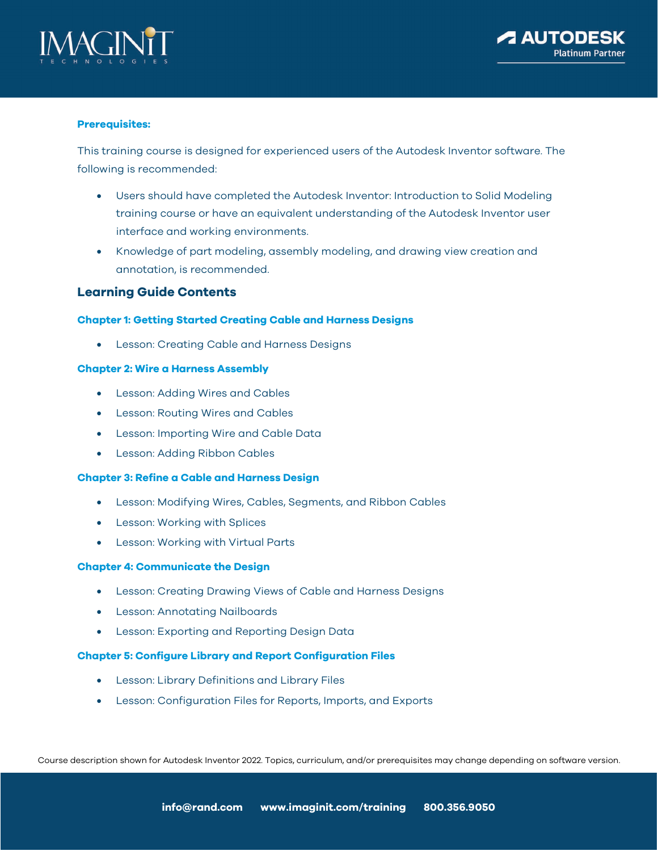



#### **Prerequisites:**

This training course is designed for experienced users of the Autodesk Inventor software. The following is recommended:

- Users should have completed the Autodesk Inventor: Introduction to Solid Modeling training course or have an equivalent understanding of the Autodesk Inventor user interface and working environments.
- Knowledge of part modeling, assembly modeling, and drawing view creation and annotation, is recommended.

#### **Learning Guide Contents**

#### **Chapter 1: Getting Started Creating Cable and Harness Designs**

• Lesson: Creating Cable and Harness Designs

#### **Chapter 2: Wire a Harness Assembly**

- Lesson: Adding Wires and Cables
- Lesson: Routing Wires and Cables
- Lesson: Importing Wire and Cable Data
- Lesson: Adding Ribbon Cables

#### **Chapter 3: Refine a Cable and Harness Design**

- Lesson: Modifying Wires, Cables, Segments, and Ribbon Cables
- Lesson: Working with Splices
- Lesson: Working with Virtual Parts

#### **Chapter 4: Communicate the Design**

- Lesson: Creating Drawing Views of Cable and Harness Designs
- Lesson: Annotating Nailboards
- Lesson: Exporting and Reporting Design Data

#### **Chapter 5: Configure Library and Report Configuration Files**

- Lesson: Library Definitions and Library Files
- Lesson: Configuration Files for Reports, Imports, and Exports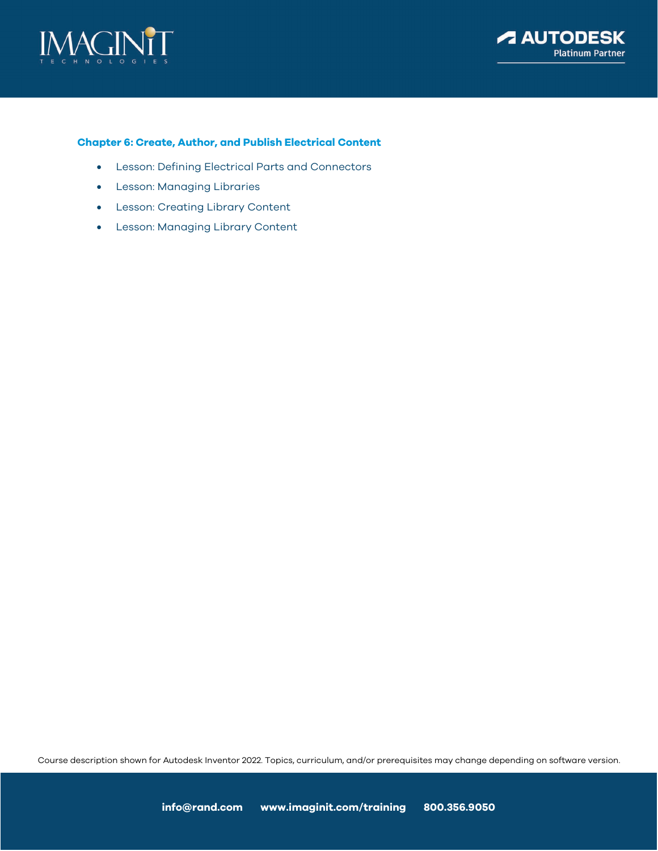



#### **Chapter 6: Create, Author, and Publish Electrical Content**

- Lesson: Defining Electrical Parts and Connectors
- Lesson: Managing Libraries
- Lesson: Creating Library Content
- Lesson: Managing Library Content